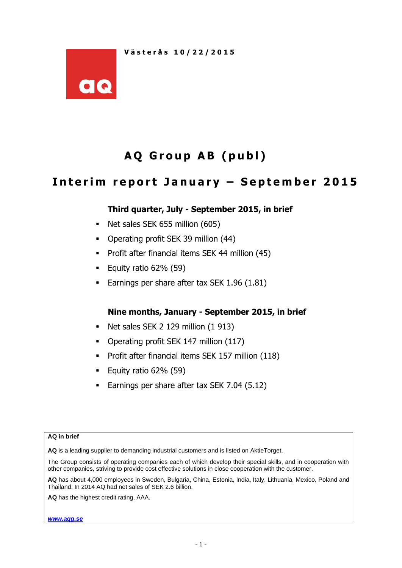

# **A Q G r o u p A B ( p u b l )**

## Interim report January - September 2015

## **Third quarter, July - September 2015, in brief**

- Net sales SEK 655 million (605)
- Operating profit SEK 39 million (44)
- **Profit after financial items SEK 44 million (45)**
- Equity ratio  $62\%$  (59)
- Earnings per share after tax SEK 1.96 (1.81)

### **Nine months, January - September 2015, in brief**

- Net sales SEK 2 129 million (1 913)
- Operating profit SEK 147 million (117)
- **Profit after financial items SEK 157 million (118)**
- Equity ratio  $62\%$  (59)
- **Earnings per share after tax SEK 7.04 (5.12)**

#### **AQ in brief**

**AQ** is a leading supplier to demanding industrial customers and is listed on AktieTorget.

The Group consists of operating companies each of which develop their special skills, and in cooperation with other companies, striving to provide cost effective solutions in close cooperation with the customer.

**AQ** has about 4,000 employees in Sweden, Bulgaria, China, Estonia, India, Italy, Lithuania, Mexico, Poland and Thailand. In 2014 AQ had net sales of SEK 2.6 billion.

**AQ** has the highest credit rating, AAA.

*[www.aqg.se](http://www.aqg.se/)*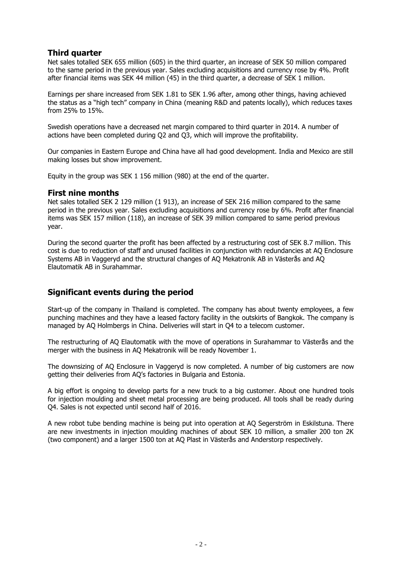#### **Third quarter**

Net sales totalled SEK 655 million (605) in the third quarter, an increase of SEK 50 million compared to the same period in the previous year. Sales excluding acquisitions and currency rose by 4%. Profit after financial items was SEK 44 million (45) in the third quarter, a decrease of SEK 1 million.

Earnings per share increased from SEK 1.81 to SEK 1.96 after, among other things, having achieved the status as a "high tech" company in China (meaning R&D and patents locally), which reduces taxes from 25% to 15%.

Swedish operations have a decreased net margin compared to third quarter in 2014. A number of actions have been completed during Q2 and Q3, which will improve the profitability.

Our companies in Eastern Europe and China have all had good development. India and Mexico are still making losses but show improvement.

Equity in the group was SEK 1 156 million (980) at the end of the quarter.

#### **First nine months**

Net sales totalled SEK 2 129 million (1 913), an increase of SEK 216 million compared to the same period in the previous year. Sales excluding acquisitions and currency rose by 6%. Profit after financial items was SEK 157 million (118), an increase of SEK 39 million compared to same period previous year.

During the second quarter the profit has been affected by a restructuring cost of SEK 8.7 million. This cost is due to reduction of staff and unused facilities in conjunction with redundancies at AQ Enclosure Systems AB in Vaggeryd and the structural changes of AQ Mekatronik AB in Västerås and AQ Elautomatik AB in Surahammar.

## **Significant events during the period**

Start-up of the company in Thailand is completed. The company has about twenty employees, a few punching machines and they have a leased factory facility in the outskirts of Bangkok. The company is managed by AQ Holmbergs in China. Deliveries will start in Q4 to a telecom customer.

The restructuring of AQ Elautomatik with the move of operations in Surahammar to Västerås and the merger with the business in AQ Mekatronik will be ready November 1.

The downsizing of AQ Enclosure in Vaggeryd is now completed. A number of big customers are now getting their deliveries from AQ's factories in Bulgaria and Estonia.

A big effort is ongoing to develop parts for a new truck to a big customer. About one hundred tools for injection moulding and sheet metal processing are being produced. All tools shall be ready during Q4. Sales is not expected until second half of 2016.

A new robot tube bending machine is being put into operation at AQ Segerström in Eskilstuna. There are new investments in injection moulding machines of about SEK 10 million, a smaller 200 ton 2K (two component) and a larger 1500 ton at AQ Plast in Västerås and Anderstorp respectively.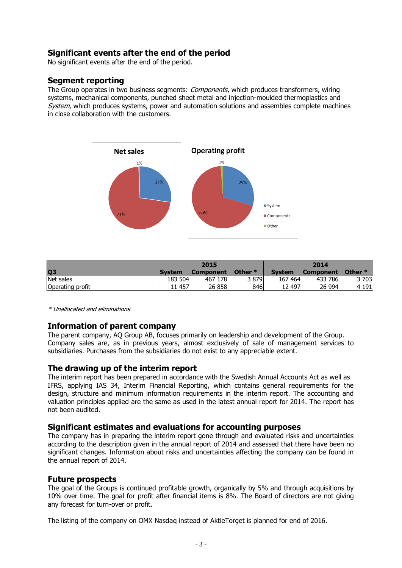## **Significant events after the end of the period**

No significant events after the end of the period.

#### **Segment reporting**

The Group operates in two business segments: *Components*, which produces transformers, wiring systems, mechanical components, punched sheet metal and injection-moulded thermoplastics and System, which produces systems, power and automation solutions and assembles complete machines in close collaboration with the customers.



|                  |               | 2015             |           | 2014          |                  |           |  |  |
|------------------|---------------|------------------|-----------|---------------|------------------|-----------|--|--|
| Q <sub>3</sub>   | <b>System</b> | <b>Component</b> | Other $*$ | <b>System</b> | <b>Component</b> | Other $*$ |  |  |
| Net sales        | 183 504       | 467 178          | 3 879     | 167 464       | 433 786          | $3\,703$  |  |  |
| Operating profit | 11 457        | 26 858           | 846       | 12 497        | 26 994           | 4 1 9 1   |  |  |

\* Unallocated and eliminations

### **Information of parent company**

The parent company, AQ Group AB, focuses primarily on leadership and development of the Group. Company sales are, as in previous years, almost exclusively of sale of management services to subsidiaries. Purchases from the subsidiaries do not exist to any appreciable extent.

#### **The drawing up of the interim report**

The interim report has been prepared in accordance with the Swedish Annual Accounts Act as well as IFRS, applying IAS 34, Interim Financial Reporting, which contains general requirements for the design, structure and minimum information requirements in the interim report. The accounting and valuation principles applied are the same as used in the latest annual report for 2014. The report has not been audited.

#### **Significant estimates and evaluations for accounting purposes**

The company has in preparing the interim report gone through and evaluated risks and uncertainties according to the description given in the annual report of 2014 and assessed that there have been no significant changes. Information about risks and uncertainties affecting the company can be found in the annual report of 2014.

#### **Future prospects**

The goal of the Groups is continued profitable growth, organically by 5% and through acquisitions by 10% over time. The goal for profit after financial items is 8%. The Board of directors are not giving any forecast for turn-over or profit.

The listing of the company on OMX Nasdaq instead of AktieTorget is planned for end of 2016.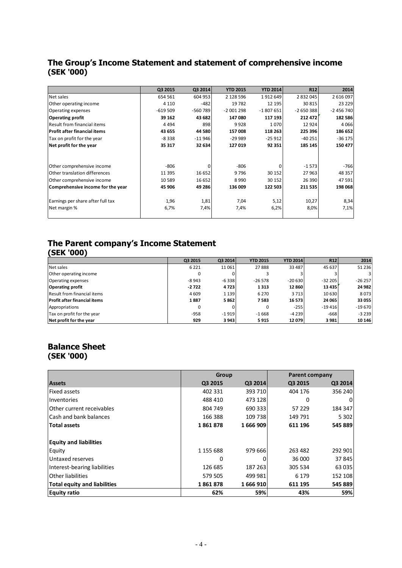## **The Group's Income Statement and statement of comprehensive income (SEK '000)**

|                                   | Q3 2015   | Q3 2014   | <b>YTD 2015</b> | <b>YTD 2014</b> | <b>R12</b> | 2014       |
|-----------------------------------|-----------|-----------|-----------------|-----------------|------------|------------|
| Net sales                         | 654 561   | 604 953   | 2 128 596       | 1912649         | 2 832 045  | 2 616 097  |
| Other operating income            | 4 1 1 0   | $-482$    | 19782           | 12 195          | 30815      | 23 2 29    |
| Operating expenses                | $-619509$ | $-560789$ | $-2001298$      | $-1807651$      | $-2650388$ | $-2456740$ |
| <b>Operating profit</b>           | 39 162    | 43 682    | 147 080         | 117 193         | 212 472    | 182 586    |
| Result from financial items       | 4 4 9 4   | 898       | 9928            | 1070            | 12 9 24    | 4066       |
| l Profit after financial items    | 43 655    | 44 580    | 157 008         | 118 263         | 225 396    | 186 652    |
| Tax on profit for the year        | $-8338$   | $-11946$  | $-29999$        | $-25912$        | $-40251$   | $-36175$   |
| Net profit for the year           | 35 317    | 32 634    | 127 019         | 92 351          | 185 145    | 150 477    |
|                                   |           |           |                 |                 |            |            |
| Other comprehensive income        | $-806$    | 0         | $-806$          | 0               | $-1573$    | $-766$     |
| Other translation differences     | 11 3 95   | 16 652    | 9796            | 30 152          | 27 963     | 48 357     |
| Other comprehensive income        | 10 589    | 16 652    | 8990            | 30 152          | 26 390     | 47 591     |
| Comprehensive income for the year | 45 906    | 49 286    | 136 009         | 122 503         | 211 535    | 198 068    |
|                                   |           |           |                 |                 |            |            |
| Earnings per share after full tax | 1,96      | 1,81      | 7,04            | 5,12            | 10,27      | 8,34       |
| Net margin %                      | 6,7%      | 7,4%      | 7,4%            | 6,2%            | 8,0%       | 7,1%       |
|                                   |           |           |                 |                 |            |            |

### **The Parent company's Income Statement (SEK '000)**

|                                     | Q3 2015  | Q3 2014 | <b>YTD 2015</b> | <b>YTD 2014</b> | R <sub>12</sub> | 2014     |
|-------------------------------------|----------|---------|-----------------|-----------------|-----------------|----------|
| Net sales                           | 6 2 2 1  | 11 061  | 27888           | 33 487          | 45 637          | 51 2 36  |
| Other operating income              |          |         |                 |                 |                 | 31       |
| Operating expenses                  | $-8943$  | $-6338$ | $-26578$        | $-20630$        | $-32205$        | $-26257$ |
| <b>Operating profit</b>             | $-2722$  | 4723    | 1313            | 12 860          | 13 4 35         | 24 982   |
| <b>Result from financial items</b>  | 4 6 0 9  | 1 1 3 9 | 6 2 7 0         | 3713            | 10 630          | 8073     |
| <b>Profit after financial items</b> | 1887     | 5862    | 7583            | 16 573          | 24 065          | 33 055   |
| Appropriations                      | $\Omega$ |         | $\Omega$        | $-255$          | $-19416$        | $-19670$ |
| Tax on profit for the year          | $-958$   | $-1919$ | $-1668$         | $-4239$         | $-668$          | $-3239$  |
| Net profit for the year             | 929      | 3 9 4 3 | 5915            | 12079           | 3 9 8 1         | 10 146   |

## **Balance Sheet (SEK '000)**

|                                     | Group     |         | <b>Parent company</b> |         |  |  |
|-------------------------------------|-----------|---------|-----------------------|---------|--|--|
| <b>Assets</b>                       | Q3 2015   | Q3 2014 | Q3 2015               | Q3 2014 |  |  |
| <b>Fixed assets</b>                 | 402 331   | 393 710 | 404 176               | 356 240 |  |  |
| Inventories                         | 488 410   | 473 128 | 0                     | 0       |  |  |
| Other current receivables           | 804 749   | 690 333 | 57 229                | 184 347 |  |  |
| Cash and bank balances              | 166 388   | 109 738 | 149 791               | 5 3 0 2 |  |  |
| <b>Total assets</b>                 | 1861878   | 1666909 | 611 196               | 545 889 |  |  |
| <b>Equity and liabilities</b>       |           |         |                       |         |  |  |
| Equity                              | 1 155 688 | 979 666 | 263 482               | 292 901 |  |  |
| Untaxed reserves                    | 0         |         | 36 000                | 37845   |  |  |
| Interest-bearing liabilities        | 126 685   | 187 263 | 305 534               | 63 035  |  |  |
| <b>Other liabilities</b>            | 579 505   | 499 981 | 6 1 7 9               | 152 108 |  |  |
| <b>Total equity and liabilities</b> | 1861878   | 1666910 | 611 195               | 545 889 |  |  |
| <b>Equity ratio</b>                 | 62%       | 59%     | 43%                   | 59%     |  |  |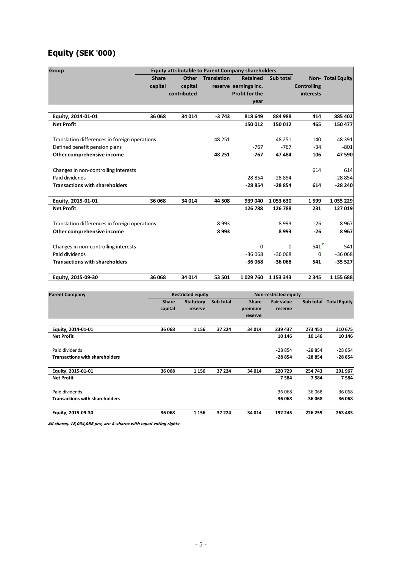## **Equity (SEK '000)**

| Group                                         |              | <b>Equity attributable to Parent Company shareholders</b> |                    |                       |           |                    |                          |
|-----------------------------------------------|--------------|-----------------------------------------------------------|--------------------|-----------------------|-----------|--------------------|--------------------------|
|                                               | <b>Share</b> | Other                                                     | <b>Translation</b> | <b>Retained</b>       | Sub total |                    | <b>Non- Total Equity</b> |
|                                               | capital      | capital                                                   |                    | reserve earnings inc. |           | <b>Controlling</b> |                          |
|                                               |              | contributed                                               |                    | <b>Profit for the</b> |           | interests          |                          |
|                                               |              |                                                           |                    | year                  |           |                    |                          |
|                                               |              |                                                           |                    |                       |           |                    |                          |
| Equity, 2014-01-01                            | 36 068       | 34 014                                                    | $-3743$            | 818 649               | 884 988   | 414                | 885 402                  |
| <b>Net Profit</b>                             |              |                                                           |                    | 150 012               | 150 012   | 465                | 150 477                  |
| Translation differences in foreign operations |              |                                                           | 48 251             |                       | 48 251    | 140                | 48 391                   |
| Defined benefit pension plans                 |              |                                                           |                    | $-767$                | $-767$    | $-34$              | $-801$                   |
| Other comprehensive income                    |              |                                                           | 48 251             | $-767$                | 47 484    | 106                | 47 590                   |
| Changes in non-controlling interests          |              |                                                           |                    |                       |           | 614                | 614                      |
| Paid dividends                                |              |                                                           |                    | $-28854$              | $-28854$  |                    | $-28854$                 |
| <b>Transactions with shareholders</b>         |              |                                                           |                    | $-28854$              | $-28854$  | 614                | $-28240$                 |
| Equity, 2015-01-01                            | 36 068       | 34 014                                                    | 44 508             | 939 040               | 1053630   | 1599               | 1055229                  |
| <b>Net Profit</b>                             |              |                                                           |                    | 126 788               | 126 788   | 231                | 127 019                  |
| Translation differences in foreign operations |              |                                                           | 8993               |                       | 8993      | $-26$              | 8967                     |
| Other comprehensive income                    |              |                                                           | 8993               |                       | 8993      | $-26$              | 8967                     |
| Changes in non-controlling interests          |              |                                                           |                    | $\Omega$              | $\Omega$  | 541                | 541                      |
| Paid dividends                                |              |                                                           |                    | $-36068$              | $-36068$  | $\mathbf 0$        | $-36068$                 |
| <b>Transactions with shareholders</b>         |              |                                                           |                    | $-36068$              | $-36068$  | 541                | $-35527$                 |
| Equity, 2015-09-30                            | 36 068       | 34 014                                                    | 53 501             | 1029760               | 1 153 343 | 2 3 4 5            | 1 155 688                |

| <b>Parent Company</b>                 |              | <b>Restricted equity</b> |           | <b>Non-restricted equity</b> |                   |           |                     |
|---------------------------------------|--------------|--------------------------|-----------|------------------------------|-------------------|-----------|---------------------|
|                                       | <b>Share</b> | <b>Statutory</b>         | Sub total | <b>Share</b>                 | <b>Fair value</b> | Sub total | <b>Total Equity</b> |
|                                       | capital      | reserve                  |           | premium                      | reserve           |           |                     |
|                                       |              |                          |           | reserve                      |                   |           |                     |
|                                       |              |                          |           |                              |                   |           |                     |
| Equity, 2014-01-01                    | 36 068       | 1 1 5 6                  | 37 224    | 34 014                       | 239 437           | 273 451   | 310 675             |
| <b>Net Profit</b>                     |              |                          |           |                              | 10 14 6           | 10 14 6   | 10 14 6             |
| Paid dividends                        |              |                          |           |                              | $-28854$          | -28 854   | $-28854$            |
| <b>Transactions with shareholders</b> |              |                          |           |                              | -28 854           | $-28854$  | $-28854$            |
| Equity, 2015-01-01                    | 36 068       | 1 1 5 6                  | 37 224    | 34 014                       | 220729            | 254 743   | 291 967             |
| <b>Net Profit</b>                     |              |                          |           |                              | 7584              | 7584      | 7584                |
| Paid dividends                        |              |                          |           |                              | $-36068$          | $-36068$  | $-36068$            |
| <b>Transactions with shareholders</b> |              |                          |           |                              | -36 068           | -36 068   | $-36068$            |
| Equity, 2015-09-30                    | 36 068       | 1 1 5 6                  | 37 224    | 34 014                       | 192 245           | 226 259   | 263 483             |

**All shares, 18,034,058 pcs, are A-shares with equal voting rights**